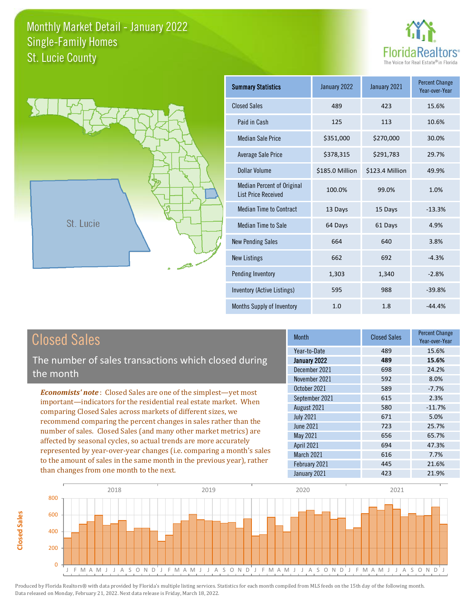



**Closed Sales**

**Closed Sales** 

| Summary Statistics                                              | January 2022    | January 2021    | <b>Percent Change</b><br>Year-over-Year |
|-----------------------------------------------------------------|-----------------|-----------------|-----------------------------------------|
| <b>Closed Sales</b>                                             | 489             | 423             | 15.6%                                   |
| Paid in Cash                                                    | 125             | 113             | 10.6%                                   |
| <b>Median Sale Price</b>                                        | \$351,000       | \$270,000       | 30.0%                                   |
| <b>Average Sale Price</b>                                       | \$378,315       | \$291,783       | 29.7%                                   |
| Dollar Volume                                                   | \$185.0 Million | \$123.4 Million | 49.9%                                   |
| <b>Median Percent of Original</b><br><b>List Price Received</b> | 100.0%          | 99.0%           | 1.0%                                    |
| Median Time to Contract                                         | 13 Days         | 15 Days         | $-13.3%$                                |
| <b>Median Time to Sale</b>                                      | 64 Days         | 61 Days         | 4.9%                                    |
| <b>New Pending Sales</b>                                        | 664             | 640             | 3.8%                                    |
| <b>New Listings</b>                                             | 662             | 692             | $-4.3%$                                 |
| Pending Inventory                                               | 1,303           | 1,340           | $-2.8%$                                 |
| Inventory (Active Listings)                                     | 595             | 988             | $-39.8%$                                |
| Months Supply of Inventory                                      | 1.0             | 1.8             | $-44.4%$                                |

| <b>Closed Sales</b>                                                                                                                                                                                                                                                                                                                                                                                                                                                                                                                                                                                                      | <b>Month</b>                    | <b>Closed Sales</b> | <b>Percent Change</b><br>Year-over-Year |
|--------------------------------------------------------------------------------------------------------------------------------------------------------------------------------------------------------------------------------------------------------------------------------------------------------------------------------------------------------------------------------------------------------------------------------------------------------------------------------------------------------------------------------------------------------------------------------------------------------------------------|---------------------------------|---------------------|-----------------------------------------|
| The number of sales transactions which closed during                                                                                                                                                                                                                                                                                                                                                                                                                                                                                                                                                                     | Year-to-Date<br>January 2022    | 489<br>489          | 15.6%<br>15.6%                          |
| the month                                                                                                                                                                                                                                                                                                                                                                                                                                                                                                                                                                                                                | December 2021                   | 698                 | 24.2%                                   |
|                                                                                                                                                                                                                                                                                                                                                                                                                                                                                                                                                                                                                          | November 2021<br>October 2021   | 592<br>589          | 8.0%<br>$-7.7%$                         |
| <b>Economists' note:</b> Closed Sales are one of the simplest—yet most<br>important—indicators for the residential real estate market. When<br>comparing Closed Sales across markets of different sizes, we<br>recommend comparing the percent changes in sales rather than the<br>number of sales. Closed Sales (and many other market metrics) are<br>affected by seasonal cycles, so actual trends are more accurately<br>represented by year-over-year changes (i.e. comparing a month's sales<br>to the amount of sales in the same month in the previous year), rather<br>than changes from one month to the next. | September 2021                  | 615                 | 2.3%                                    |
|                                                                                                                                                                                                                                                                                                                                                                                                                                                                                                                                                                                                                          | August 2021<br><b>July 2021</b> | 580<br>671          | $-11.7%$<br>5.0%                        |
|                                                                                                                                                                                                                                                                                                                                                                                                                                                                                                                                                                                                                          | June 2021                       | 723                 | 25.7%                                   |
|                                                                                                                                                                                                                                                                                                                                                                                                                                                                                                                                                                                                                          | May 2021<br><b>April 2021</b>   | 656<br>694          | 65.7%<br>47.3%                          |
|                                                                                                                                                                                                                                                                                                                                                                                                                                                                                                                                                                                                                          | <b>March 2021</b>               | 616                 | 7.7%                                    |
|                                                                                                                                                                                                                                                                                                                                                                                                                                                                                                                                                                                                                          | February 2021<br>January 2021   | 445<br>423          | 21.6%<br>21.9%                          |

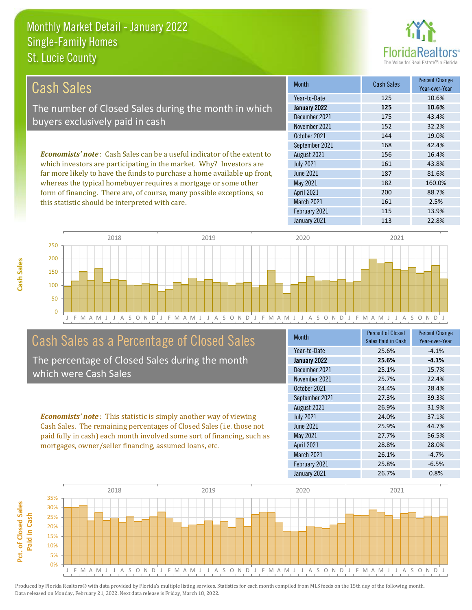this statistic should be interpreted with care.



161 2.5%

| Cash Sales                                                                      | <b>Month</b>      | <b>Cash Sales</b> | <b>Percent Change</b><br>Year-over-Year |
|---------------------------------------------------------------------------------|-------------------|-------------------|-----------------------------------------|
|                                                                                 | Year-to-Date      | 125               | 10.6%                                   |
| The number of Closed Sales during the month in which                            | January 2022      | 125               | 10.6%                                   |
| buyers exclusively paid in cash                                                 | December 2021     | 175               | 43.4%                                   |
|                                                                                 | November 2021     | 152               | 32.2%                                   |
|                                                                                 | October 2021      | 144               | 19.0%                                   |
|                                                                                 | September 2021    | 168               | 42.4%                                   |
| <b>Economists' note</b> : Cash Sales can be a useful indicator of the extent to | August 2021       | 156               | 16.4%                                   |
| which investors are participating in the market. Why? Investors are             | <b>July 2021</b>  | 161               | 43.8%                                   |
| far more likely to have the funds to purchase a home available up front,        | June 2021         | 187               | 81.6%                                   |
| whereas the typical homebuyer requires a mortgage or some other                 | May 2021          | 182               | 160.0%                                  |
| form of financing. There are, of course, many possible exceptions, so           | <b>April 2021</b> | 200               | 88.7%                                   |



March 2021

### Cash Sales as a Percentage of Closed Sales

The percentage of Closed Sales during the month which were Cash Sales

*Economists' note* : This statistic is simply another way of viewing Cash Sales. The remaining percentages of Closed Sales (i.e. those not paid fully in cash) each month involved some sort of financing, such as mortgages, owner/seller financing, assumed loans, etc.

| <b>Month</b>     | <b>Percent of Closed</b><br>Sales Paid in Cash | <b>Percent Change</b><br>Year-over-Year |
|------------------|------------------------------------------------|-----------------------------------------|
| Year-to-Date     | 25.6%                                          | $-4.1%$                                 |
| January 2022     | 25.6%                                          | $-4.1%$                                 |
| December 2021    | 25.1%                                          | 15.7%                                   |
| November 2021    | 25.7%                                          | 22.4%                                   |
| October 2021     | 24.4%                                          | 28.4%                                   |
| September 2021   | 27.3%                                          | 39.3%                                   |
| August 2021      | 26.9%                                          | 31.9%                                   |
| <b>July 2021</b> | 24.0%                                          | 37.1%                                   |
| June 2021        | 25.9%                                          | 44.7%                                   |
| May 2021         | 27.7%                                          | 56.5%                                   |
| April 2021       | 28.8%                                          | 28.0%                                   |
| March 2021       | 26.1%                                          | $-4.7%$                                 |
| February 2021    | 25.8%                                          | $-6.5%$                                 |
| January 2021     | 26.7%                                          | 0.8%                                    |

February 2021 115 13.9%

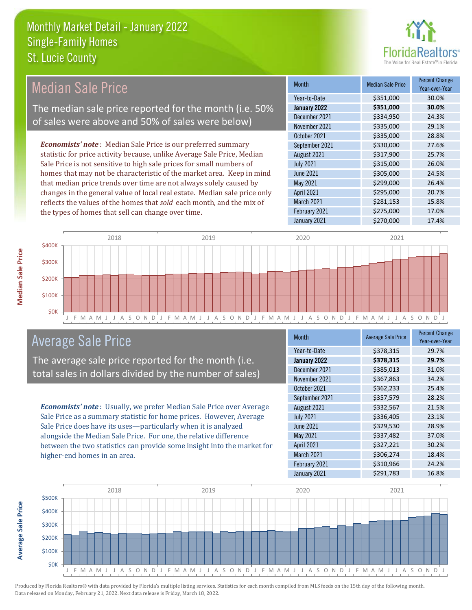

| Median Sale Price                                                         | <b>Month</b>      | <b>Median Sale Price</b> | <b>Percent Change</b><br>Year-over-Year |
|---------------------------------------------------------------------------|-------------------|--------------------------|-----------------------------------------|
|                                                                           | Year-to-Date      | \$351,000                | 30.0%                                   |
| The median sale price reported for the month (i.e. 50%                    | January 2022      | \$351,000                | 30.0%                                   |
| of sales were above and 50% of sales were below)                          | December 2021     | \$334,950                | 24.3%                                   |
|                                                                           | November 2021     | \$335,000                | 29.1%                                   |
|                                                                           | October 2021      | \$335,000                | 28.8%                                   |
| <b>Economists' note</b> : Median Sale Price is our preferred summary      | September 2021    | \$330,000                | 27.6%                                   |
| statistic for price activity because, unlike Average Sale Price, Median   | August 2021       | \$317,900                | 25.7%                                   |
| Sale Price is not sensitive to high sale prices for small numbers of      | <b>July 2021</b>  | \$315,000                | 26.0%                                   |
| homes that may not be characteristic of the market area. Keep in mind     | June 2021         | \$305,000                | 24.5%                                   |
| that median price trends over time are not always solely caused by        | May 2021          | \$299,000                | 26.4%                                   |
| changes in the general value of local real estate. Median sale price only | <b>April 2021</b> | \$295,000                | 20.7%                                   |
| reflects the values of the homes that sold each month, and the mix of     | <b>March 2021</b> | \$281,153                | 15.8%                                   |
| the types of homes that sell can change over time.                        | February 2021     | \$275,000                | 17.0%                                   |
|                                                                           | January 2021      | \$270,000                | 17.4%                                   |



#### Average Sale Price

The average sale price reported for the month (i.e. total sales in dollars divided by the number of sales)

*Economists' note* : Usually, we prefer Median Sale Price over Average Sale Price as a summary statistic for home prices. However, Average Sale Price does have its uses—particularly when it is analyzed alongside the Median Sale Price. For one, the relative difference between the two statistics can provide some insight into the market for higher-end homes in an area.

| <b>Month</b>     | <b>Average Sale Price</b> | <b>Percent Change</b><br>Year-over-Year |
|------------------|---------------------------|-----------------------------------------|
| Year-to-Date     | \$378,315                 | 29.7%                                   |
| January 2022     | \$378,315                 | 29.7%                                   |
| December 2021    | \$385,013                 | 31.0%                                   |
| November 2021    | \$367,863                 | 34.2%                                   |
| October 2021     | \$362,233                 | 25.4%                                   |
| September 2021   | \$357,579                 | 28.2%                                   |
| August 2021      | \$332,567                 | 21.5%                                   |
| <b>July 2021</b> | \$336,405                 | 23.1%                                   |
| <b>June 2021</b> | \$329,530                 | 28.9%                                   |
| <b>May 2021</b>  | \$337,482                 | 37.0%                                   |
| April 2021       | \$327,221                 | 30.2%                                   |
| March 2021       | \$306,274                 | 18.4%                                   |
| February 2021    | \$310,966                 | 24.2%                                   |
| January 2021     | \$291,783                 | 16.8%                                   |

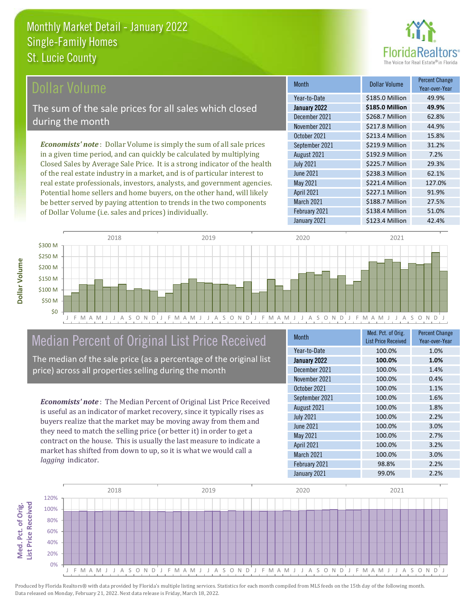

#### **Ollar Volume**

The sum of the sale prices for all sales which closed during the month

*Economists' note* : Dollar Volume is simply the sum of all sale prices in a given time period, and can quickly be calculated by multiplying Closed Sales by Average Sale Price. It is a strong indicator of the health of the real estate industry in a market, and is of particular interest to real estate professionals, investors, analysts, and government agencies. Potential home sellers and home buyers, on the other hand, will likely be better served by paying attention to trends in the two components of Dollar Volume (i.e. sales and prices) individually.

| <b>Month</b>      | Dollar Volume   | <b>Percent Change</b><br>Year-over-Year |
|-------------------|-----------------|-----------------------------------------|
| Year-to-Date      | \$185.0 Million | 49.9%                                   |
| January 2022      | \$185.0 Million | 49.9%                                   |
| December 2021     | \$268.7 Million | 62.8%                                   |
| November 2021     | \$217.8 Million | 44.9%                                   |
| October 2021      | \$213.4 Million | 15.8%                                   |
| September 2021    | \$219.9 Million | 31.2%                                   |
| August 2021       | \$192.9 Million | 7.2%                                    |
| <b>July 2021</b>  | \$225.7 Million | 29.3%                                   |
| <b>June 2021</b>  | \$238.3 Million | 62.1%                                   |
| May 2021          | \$221.4 Million | 127.0%                                  |
| <b>April 2021</b> | \$227.1 Million | 91.9%                                   |
| March 2021        | \$188.7 Million | 27.5%                                   |
| February 2021     | \$138.4 Million | 51.0%                                   |
| January 2021      | \$123.4 Million | 42.4%                                   |



### Median Percent of Original List Price Received

The median of the sale price (as a percentage of the original list price) across all properties selling during the month

*Economists' note* : The Median Percent of Original List Price Received is useful as an indicator of market recovery, since it typically rises as buyers realize that the market may be moving away from them and they need to match the selling price (or better it) in order to get a contract on the house. This is usually the last measure to indicate a market has shifted from down to up, so it is what we would call a *lagging* indicator.

| <b>Month</b>     | Med. Pct. of Orig.<br><b>List Price Received</b> | <b>Percent Change</b><br>Year-over-Year |
|------------------|--------------------------------------------------|-----------------------------------------|
| Year-to-Date     | 100.0%                                           | 1.0%                                    |
| January 2022     | 100.0%                                           | 1.0%                                    |
| December 2021    | 100.0%                                           | 1.4%                                    |
| November 2021    | 100.0%                                           | 0.4%                                    |
| October 2021     | 100.0%                                           | 1.1%                                    |
| September 2021   | 100.0%                                           | 1.6%                                    |
| August 2021      | 100.0%                                           | 1.8%                                    |
| <b>July 2021</b> | 100.0%                                           | 2.2%                                    |
| <b>June 2021</b> | 100.0%                                           | 3.0%                                    |
| May 2021         | 100.0%                                           | 2.7%                                    |
| April 2021       | 100.0%                                           | 3.2%                                    |
| March 2021       | 100.0%                                           | 3.0%                                    |
| February 2021    | 98.8%                                            | 2.2%                                    |
| January 2021     | 99.0%                                            | 2.2%                                    |



Produced by Florida Realtors® with data provided by Florida's multiple listing services. Statistics for each month compiled from MLS feeds on the 15th day of the following month. Data released on Monday, February 21, 2022. Next data release is Friday, March 18, 2022.

Med. Pct. of Orig.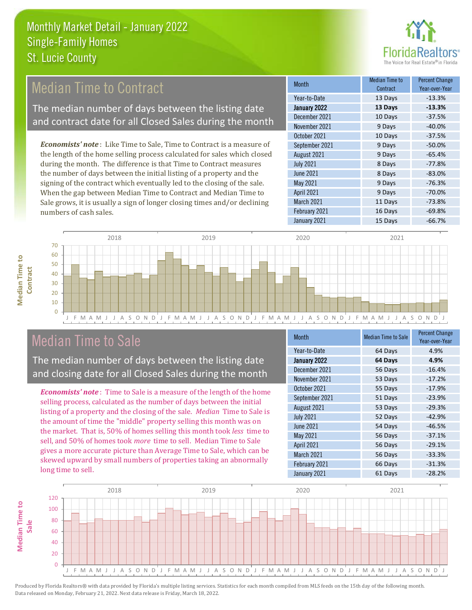

### Median Time to Contract

The median number of days between the listing date and contract date for all Closed Sales during the month

*Economists' note* : Like Time to Sale, Time to Contract is a measure of the length of the home selling process calculated for sales which closed during the month. The difference is that Time to Contract measures the number of days between the initial listing of a property and the signing of the contract which eventually led to the closing of the sale. When the gap between Median Time to Contract and Median Time to Sale grows, it is usually a sign of longer closing times and/or declining numbers of cash sales.

| <b>Month</b>     | Median Time to<br>Contract | <b>Percent Change</b><br>Year-over-Year |
|------------------|----------------------------|-----------------------------------------|
| Year-to-Date     | 13 Days                    | $-13.3%$                                |
| January 2022     | 13 Days                    | $-13.3%$                                |
| December 2021    | 10 Days                    | $-37.5%$                                |
| November 2021    | 9 Days                     | $-40.0%$                                |
| October 2021     | 10 Days                    | $-37.5%$                                |
| September 2021   | 9 Days                     | $-50.0%$                                |
| August 2021      | 9 Days                     | $-65.4%$                                |
| <b>July 2021</b> | 8 Days                     | $-77.8%$                                |
| <b>June 2021</b> | 8 Days                     | $-83.0%$                                |
| <b>May 2021</b>  | 9 Days                     | $-76.3%$                                |
| April 2021       | 9 Days                     | $-70.0%$                                |
| March 2021       | 11 Days                    | $-73.8%$                                |
| February 2021    | 16 Days                    | $-69.8%$                                |
| January 2021     | 15 Days                    | $-66.7%$                                |



### Median Time to Sale

The median number of days between the listing date and closing date for all Closed Sales during the month

*Economists' note* : Time to Sale is a measure of the length of the home selling process, calculated as the number of days between the initial listing of a property and the closing of the sale. *Median* Time to Sale is the amount of time the "middle" property selling this month was on the market. That is, 50% of homes selling this month took *less* time to sell, and 50% of homes took *more* time to sell. Median Time to Sale gives a more accurate picture than Average Time to Sale, which can be skewed upward by small numbers of properties taking an abnormally long time to sell.

| Month            | <b>Median Time to Sale</b> | <b>Percent Change</b><br>Year-over-Year |
|------------------|----------------------------|-----------------------------------------|
| Year-to-Date     | 64 Days                    | 4.9%                                    |
| January 2022     | 64 Days                    | 4.9%                                    |
| December 2021    | 56 Days                    | $-16.4%$                                |
| November 2021    | 53 Days                    | $-17.2%$                                |
| October 2021     | 55 Days                    | $-17.9%$                                |
| September 2021   | 51 Days                    | $-23.9%$                                |
| August 2021      | 53 Days                    | $-29.3%$                                |
| <b>July 2021</b> | 52 Days                    | $-42.9%$                                |
| <b>June 2021</b> | 54 Days                    | $-46.5%$                                |
| May 2021         | 56 Days                    | $-37.1%$                                |
| April 2021       | 56 Days                    | $-29.1%$                                |
| March 2021       | 56 Days                    | $-33.3%$                                |
| February 2021    | 66 Days                    | $-31.3%$                                |
| January 2021     | 61 Days                    | $-28.2%$                                |

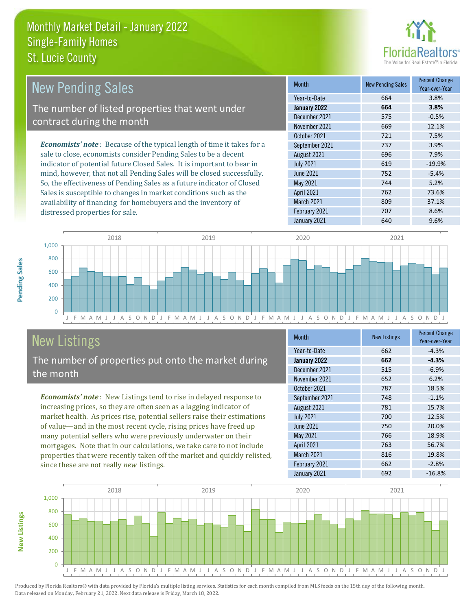

| <b>New Pending Sales</b>                                                       | <b>Month</b>     | <b>New Pending Sales</b> | <b>Percent Change</b><br>Year-over-Year |
|--------------------------------------------------------------------------------|------------------|--------------------------|-----------------------------------------|
|                                                                                | Year-to-Date     | 664                      | 3.8%                                    |
| The number of listed properties that went under                                | January 2022     | 664                      | 3.8%                                    |
| contract during the month                                                      | December 2021    | 575                      | $-0.5%$                                 |
|                                                                                | November 2021    | 669                      | 12.1%                                   |
|                                                                                | October 2021     | 721                      | 7.5%                                    |
| <b>Economists' note</b> : Because of the typical length of time it takes for a | September 2021   | 737                      | 3.9%                                    |
| sale to close, economists consider Pending Sales to be a decent                | August 2021      | 696                      | 7.9%                                    |
| indicator of potential future Closed Sales. It is important to bear in         | <b>July 2021</b> | 619                      | $-19.9%$                                |
| mind, however, that not all Pending Sales will be closed successfully.         | June 2021        | 752                      | $-5.4%$                                 |
| So, the effectiveness of Pending Sales as a future indicator of Closed         | May 2021         | 744                      | 5.2%                                    |
| Sales is susceptible to changes in market conditions such as the               | April 2021       | 762                      | 73.6%                                   |



## New Listings

distressed properties for sale.

The number of properties put onto the market during the month

availability of financing for homebuyers and the inventory of

*Economists' note* : New Listings tend to rise in delayed response to increasing prices, so they are often seen as a lagging indicator of market health. As prices rise, potential sellers raise their estimations of value—and in the most recent cycle, rising prices have freed up many potential sellers who were previously underwater on their mortgages. Note that in our calculations, we take care to not include properties that were recently taken off the market and quickly relisted, since these are not really *new* listings.

| <b>Month</b>     | <b>New Listings</b> | <b>Percent Change</b><br>Year-over-Year |
|------------------|---------------------|-----------------------------------------|
| Year-to-Date     | 662                 | $-4.3%$                                 |
| January 2022     | 662                 | $-4.3%$                                 |
| December 2021    | 515                 | $-6.9%$                                 |
| November 2021    | 652                 | 6.2%                                    |
| October 2021     | 787                 | 18.5%                                   |
| September 2021   | 748                 | $-1.1%$                                 |
| August 2021      | 781                 | 15.7%                                   |
| <b>July 2021</b> | 700                 | 12.5%                                   |
| <b>June 2021</b> | 750                 | 20.0%                                   |
| <b>May 2021</b>  | 766                 | 18.9%                                   |
| April 2021       | 763                 | 56.7%                                   |
| March 2021       | 816                 | 19.8%                                   |
| February 2021    | 662                 | $-2.8%$                                 |
| January 2021     | 692                 | $-16.8%$                                |

March 2021 809 37.1% February 2021 707 707 8.6% January 2021 640 640 9.6%



**New Listings**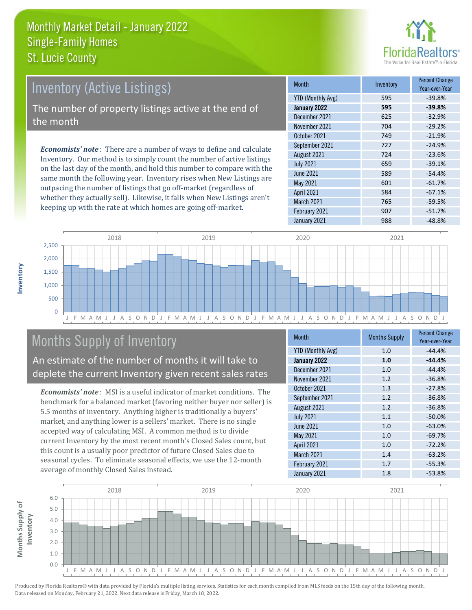

# Inventory (Active Listings) The number of property listings active at the end of the month

*Economists' note* : There are a number of ways to define and calculate Inventory. Our method is to simply count the number of active listings on the last day of the month, and hold this number to compare with the same month the following year. Inventory rises when New Listings are outpacing the number of listings that go off-market (regardless of whether they actually sell). Likewise, it falls when New Listings aren't keeping up with the rate at which homes are going off-market.

| <b>Month</b>             | Inventory | <b>Percent Change</b><br>Year-over-Year |
|--------------------------|-----------|-----------------------------------------|
| <b>YTD (Monthly Avg)</b> | 595       | $-39.8%$                                |
| January 2022             | 595       | $-39.8%$                                |
| December 2021            | 625       | $-32.9%$                                |
| November 2021            | 704       | $-29.2%$                                |
| October 2021             | 749       | $-21.9%$                                |
| September 2021           | 727       | $-24.9%$                                |
| August 2021              | 724       | $-23.6%$                                |
| <b>July 2021</b>         | 659       | $-39.1%$                                |
| <b>June 2021</b>         | 589       | $-54.4%$                                |
| May 2021                 | 601       | $-61.7%$                                |
| April 2021               | 584       | $-67.1%$                                |
| March 2021               | 765       | $-59.5%$                                |
| February 2021            | 907       | $-51.7%$                                |
| January 2021             | 988       | $-48.8%$                                |



### Months Supply of Inventory

An estimate of the number of months it will take to deplete the current Inventory given recent sales rates

*Economists' note* : MSI is a useful indicator of market conditions. The benchmark for a balanced market (favoring neither buyer nor seller) is 5.5 months of inventory. Anything higher is traditionally a buyers' market, and anything lower is a sellers' market. There is no single accepted way of calculating MSI. A common method is to divide current Inventory by the most recent month's Closed Sales count, but this count is a usually poor predictor of future Closed Sales due to seasonal cycles. To eliminate seasonal effects, we use the 12-month average of monthly Closed Sales instead.

| Month                    | <b>Months Supply</b> | <b>Percent Change</b><br>Year-over-Year |
|--------------------------|----------------------|-----------------------------------------|
| <b>YTD (Monthly Avg)</b> | 1.0                  | $-44.4%$                                |
| January 2022             | 1.0                  | $-44.4%$                                |
| December 2021            | 1.0                  | $-44.4%$                                |
| November 2021            | 1.2                  | $-36.8%$                                |
| October 2021             | 1.3                  | $-27.8%$                                |
| September 2021           | 1.2                  | $-36.8%$                                |
| August 2021              | 1.2                  | $-36.8%$                                |
| <b>July 2021</b>         | 1.1                  | $-50.0%$                                |
| <b>June 2021</b>         | 1.0                  | $-63.0%$                                |
| May 2021                 | 1.0                  | $-69.7%$                                |
| <b>April 2021</b>        | 1.0                  | $-72.2%$                                |
| <b>March 2021</b>        | 1.4                  | $-63.2%$                                |
| February 2021            | 1.7                  | $-55.3%$                                |
| January 2021             | 1.8                  | $-53.8%$                                |

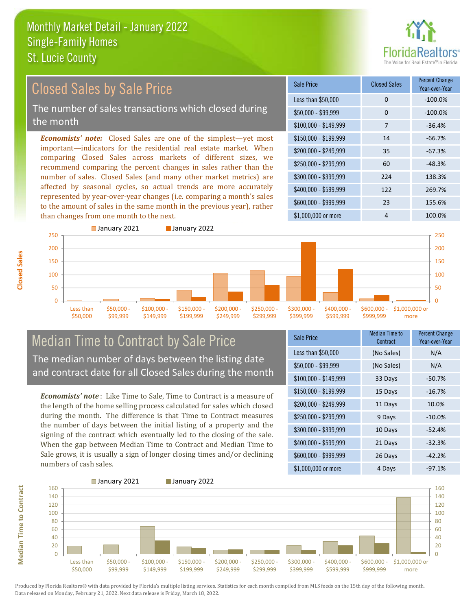

#### *Economists' note:* Closed Sales are one of the simplest—yet most important—indicators for the residential real estate market. When comparing Closed Sales across markets of different sizes, we recommend comparing the percent changes in sales rather than the number of sales. Closed Sales (and many other market metrics) are affected by seasonal cycles, so actual trends are more accurately represented by year-over-year changes (i.e. comparing a month's sales to the amount of sales in the same month in the previous year), rather than changes from one month to the next. \$1,000,000 or more 4 100.0%  $$250,000 - $299,999$  60  $-48.3\%$ \$300,000 - \$399,999 224 138.3% \$400,000 - \$599,999 122 269.7% \$600,000 - \$999,999 23 155.6% \$150,000 - \$199,999 14 -66.7% \$200,000 - \$249,999 35 -67.3%  $$100,000 - $149,999$  7 -36.4% Sale Price Closed Sales Percent Change Year-over-Year Less than \$50,000 0 0 -100.0%  $$50.000 - $99.999$  0  $-100.0\%$ Closed Sales by Sale Price The number of sales transactions which closed during the month



#### Median Time to Contract by Sale Price The median number of days between the listing date and contract date for all Closed Sales during the month

*Economists' note* : Like Time to Sale, Time to Contract is a measure of the length of the home selling process calculated for sales which closed during the month. The difference is that Time to Contract measures the number of days between the initial listing of a property and the signing of the contract which eventually led to the closing of the sale. When the gap between Median Time to Contract and Median Time to Sale grows, it is usually a sign of longer closing times and/or declining numbers of cash sales.

| Sale Price            | Median Time to<br>Contract | <b>Percent Change</b><br>Year-over-Year |
|-----------------------|----------------------------|-----------------------------------------|
| Less than \$50,000    | (No Sales)                 | N/A                                     |
| $$50,000 - $99,999$   | (No Sales)                 | N/A                                     |
| $$100,000 - $149,999$ | 33 Days                    | $-50.7%$                                |
| $$150,000 - $199,999$ | 15 Days                    | $-16.7%$                                |
| \$200,000 - \$249,999 | 11 Days                    | 10.0%                                   |
| \$250,000 - \$299,999 | 9 Days                     | $-10.0%$                                |
| \$300,000 - \$399,999 | 10 Days                    | $-52.4%$                                |
| \$400,000 - \$599,999 | 21 Days                    | $-32.3%$                                |
| \$600,000 - \$999,999 | 26 Days                    | $-42.2%$                                |
| \$1,000,000 or more   | 4 Days                     | $-97.1%$                                |



Produced by Florida Realtors® with data provided by Florida's multiple listing services. Statistics for each month compiled from MLS feeds on the 15th day of the following month. Data released on Monday, February 21, 2022. Next data release is Friday, March 18, 2022.

**Median Time to Contract**

**Median Time to Contract**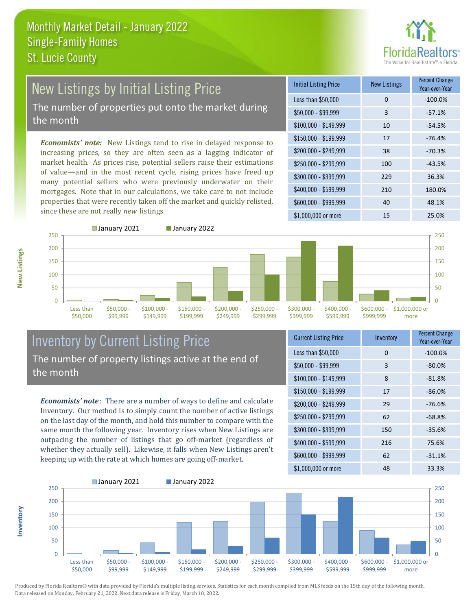

### New Listings by Initial Listing Price The number of properties put onto the market during

the month

*Economists' note:* New Listings tend to rise in delayed response to increasing prices, so they are often seen as a lagging indicator of market health. As prices rise, potential sellers raise their estimations of value—and in the most recent cycle, rising prices have freed up many potential sellers who were previously underwater on their mortgages. Note that in our calculations, we take care to not include properties that were recently taken off the market and quickly relisted, since these are not really *new* listings.

| <b>Initial Listing Price</b> | <b>New Listings</b> | <b>Percent Change</b><br>Year-over-Year |
|------------------------------|---------------------|-----------------------------------------|
| Less than \$50,000           | 0                   | $-100.0%$                               |
| $$50,000 - $99,999$          | 3                   | $-57.1%$                                |
| $$100,000 - $149,999$        | 10                  | $-54.5%$                                |
| $$150,000 - $199,999$        | 17                  | $-76.4%$                                |
| \$200,000 - \$249,999        | 38                  | $-70.3%$                                |
| \$250,000 - \$299,999        | 100                 | $-43.5%$                                |
| \$300,000 - \$399,999        | 229                 | 36.3%                                   |
| \$400,000 - \$599,999        | 210                 | 180.0%                                  |
| \$600,000 - \$999,999        | 40                  | 48.1%                                   |
| \$1,000,000 or more          | 15                  | 25.0%                                   |



**Inventory**



#### Inventory by Current Listing Price The number of property listings active at the end of the month

*Economists' note* : There are a number of ways to define and calculate Inventory. Our method is to simply count the number of active listings on the last day of the month, and hold this number to compare with the same month the following year. Inventory rises when New Listings are outpacing the number of listings that go off-market (regardless of whether they actually sell). Likewise, it falls when New Listings aren't keeping up with the rate at which homes are going off-market.

| <b>Current Listing Price</b> | Inventory | <b>Percent Change</b><br>Year-over-Year |
|------------------------------|-----------|-----------------------------------------|
| Less than \$50,000           | 0         | $-100.0%$                               |
| $$50,000 - $99,999$          | 3         | $-80.0%$                                |
| $$100,000 - $149,999$        | 8         | $-81.8%$                                |
| $$150,000 - $199,999$        | 17        | $-86.0%$                                |
| \$200,000 - \$249,999        | 29        | $-76.6%$                                |
| \$250,000 - \$299,999        | 62        | $-68.8%$                                |
| \$300,000 - \$399,999        | 150       | $-35.6%$                                |
| \$400,000 - \$599,999        | 216       | 75.6%                                   |
| \$600,000 - \$999,999        | 62        | $-31.1%$                                |
| \$1,000,000 or more          | 48        | 33.3%                                   |